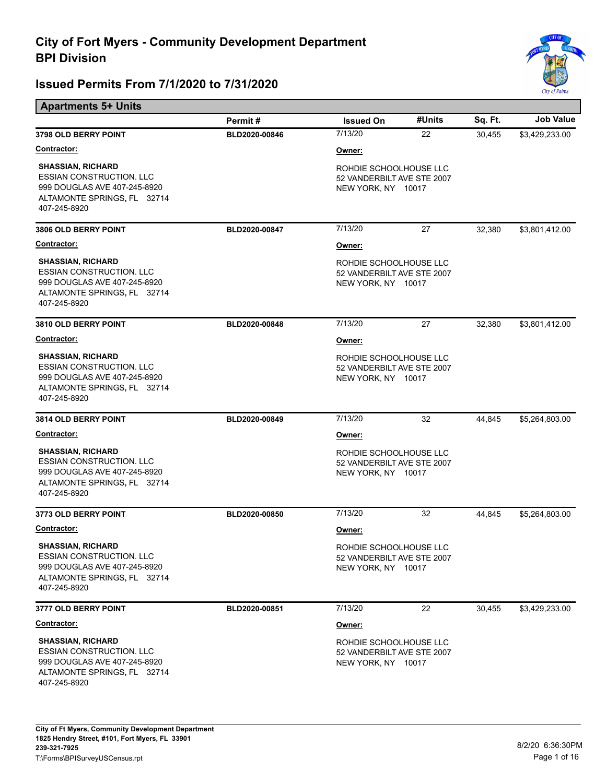

| <b>Apartments 5+ Units</b>                                                                                                                 |               |                                                                            |        |         |                  |  |
|--------------------------------------------------------------------------------------------------------------------------------------------|---------------|----------------------------------------------------------------------------|--------|---------|------------------|--|
|                                                                                                                                            | Permit#       | <b>Issued On</b>                                                           | #Units | Sq. Ft. | <b>Job Value</b> |  |
| <b>3798 OLD BERRY POINT</b>                                                                                                                | BLD2020-00846 | 7/13/20                                                                    | 22     | 30,455  | \$3,429,233.00   |  |
| <u>Contractor:</u>                                                                                                                         |               | Owner:                                                                     |        |         |                  |  |
| <b>SHASSIAN, RICHARD</b><br><b>ESSIAN CONSTRUCTION. LLC</b><br>999 DOUGLAS AVE 407-245-8920<br>ALTAMONTE SPRINGS, FL 32714<br>407-245-8920 |               | ROHDIE SCHOOLHOUSE LLC<br>52 VANDERBILT AVE STE 2007<br>NEW YORK, NY 10017 |        |         |                  |  |
| 3806 OLD BERRY POINT                                                                                                                       | BLD2020-00847 | 7/13/20                                                                    | 27     | 32,380  | \$3,801,412.00   |  |
| <b>Contractor:</b>                                                                                                                         |               | Owner:                                                                     |        |         |                  |  |
| <b>SHASSIAN, RICHARD</b><br><b>ESSIAN CONSTRUCTION. LLC</b><br>999 DOUGLAS AVE 407-245-8920<br>ALTAMONTE SPRINGS, FL 32714<br>407-245-8920 |               | ROHDIE SCHOOLHOUSE LLC<br>52 VANDERBILT AVE STE 2007<br>NEW YORK, NY 10017 |        |         |                  |  |
| 3810 OLD BERRY POINT                                                                                                                       | BLD2020-00848 | 7/13/20                                                                    | 27     | 32,380  | \$3,801,412.00   |  |
| <b>Contractor:</b>                                                                                                                         |               | Owner:                                                                     |        |         |                  |  |
| <b>SHASSIAN, RICHARD</b><br><b>ESSIAN CONSTRUCTION. LLC</b><br>999 DOUGLAS AVE 407-245-8920<br>ALTAMONTE SPRINGS, FL 32714<br>407-245-8920 |               | ROHDIE SCHOOLHOUSE LLC<br>52 VANDERBILT AVE STE 2007<br>NEW YORK, NY 10017 |        |         |                  |  |
| 3814 OLD BERRY POINT                                                                                                                       | BLD2020-00849 | 7/13/20                                                                    | 32     | 44,845  | \$5,264,803.00   |  |
| <b>Contractor:</b>                                                                                                                         |               | Owner:                                                                     |        |         |                  |  |
| <b>SHASSIAN, RICHARD</b><br><b>ESSIAN CONSTRUCTION. LLC</b><br>999 DOUGLAS AVE 407-245-8920<br>ALTAMONTE SPRINGS, FL 32714<br>407-245-8920 |               | ROHDIE SCHOOLHOUSE LLC<br>52 VANDERBILT AVE STE 2007<br>NEW YORK, NY 10017 |        |         |                  |  |
| 3773 OLD BERRY POINT                                                                                                                       | BLD2020-00850 | 7/13/20                                                                    | 32     | 44,845  | \$5,264,803.00   |  |
| <u>Contractor:</u>                                                                                                                         |               | Owner:                                                                     |        |         |                  |  |
| <b>SHASSIAN, RICHARD</b><br>ESSIAN CONSTRUCTION. LLC<br>999 DOUGLAS AVE 407-245-8920<br>ALTAMONTE SPRINGS, FL 32714<br>407-245-8920        |               | ROHDIE SCHOOLHOUSE LLC<br>52 VANDERBILT AVE STE 2007<br>NEW YORK, NY 10017 |        |         |                  |  |
| 3777 OLD BERRY POINT                                                                                                                       | BLD2020-00851 | 7/13/20                                                                    | 22     | 30,455  | \$3,429,233.00   |  |
| <u>Contractor:</u>                                                                                                                         |               | Owner:                                                                     |        |         |                  |  |
| <b>SHASSIAN, RICHARD</b><br><b>ESSIAN CONSTRUCTION, LLC</b><br>999 DOUGLAS AVE 407-245-8920<br>ALTAMONTE SPRINGS, FL 32714<br>407-245-8920 |               | ROHDIE SCHOOLHOUSE LLC<br>52 VANDERBILT AVE STE 2007<br>NEW YORK, NY 10017 |        |         |                  |  |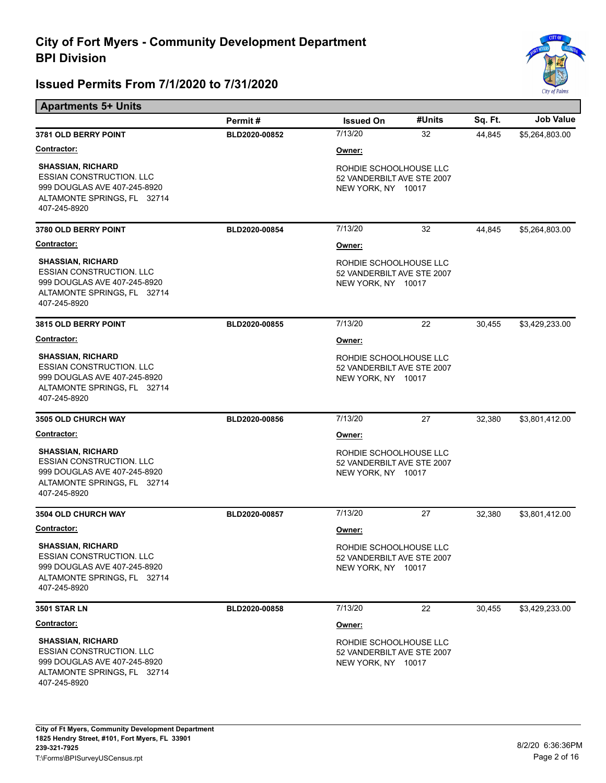

| <b>Apartments 5+ Units</b>                                                                                                                 |               |                                                                            |        |         |                  |  |
|--------------------------------------------------------------------------------------------------------------------------------------------|---------------|----------------------------------------------------------------------------|--------|---------|------------------|--|
|                                                                                                                                            | Permit#       | <b>Issued On</b>                                                           | #Units | Sq. Ft. | <b>Job Value</b> |  |
| 3781 OLD BERRY POINT                                                                                                                       | BLD2020-00852 | 7/13/20                                                                    | 32     | 44,845  | \$5,264,803.00   |  |
| <u>Contractor:</u>                                                                                                                         |               | Owner:                                                                     |        |         |                  |  |
| <b>SHASSIAN, RICHARD</b><br><b>ESSIAN CONSTRUCTION. LLC</b><br>999 DOUGLAS AVE 407-245-8920<br>ALTAMONTE SPRINGS, FL 32714<br>407-245-8920 |               | ROHDIE SCHOOLHOUSE LLC<br>52 VANDERBILT AVE STE 2007<br>NEW YORK, NY 10017 |        |         |                  |  |
| 3780 OLD BERRY POINT                                                                                                                       | BLD2020-00854 | 7/13/20                                                                    | 32     | 44,845  | \$5,264,803.00   |  |
| <b>Contractor:</b>                                                                                                                         |               | Owner:                                                                     |        |         |                  |  |
| <b>SHASSIAN, RICHARD</b><br><b>ESSIAN CONSTRUCTION. LLC</b><br>999 DOUGLAS AVE 407-245-8920<br>ALTAMONTE SPRINGS, FL 32714<br>407-245-8920 |               | ROHDIE SCHOOLHOUSE LLC<br>52 VANDERBILT AVE STE 2007<br>NEW YORK, NY 10017 |        |         |                  |  |
| 3815 OLD BERRY POINT                                                                                                                       | BLD2020-00855 | 7/13/20                                                                    | 22     | 30,455  | \$3,429,233.00   |  |
| <b>Contractor:</b>                                                                                                                         |               | Owner:                                                                     |        |         |                  |  |
| <b>SHASSIAN, RICHARD</b><br><b>ESSIAN CONSTRUCTION. LLC</b><br>999 DOUGLAS AVE 407-245-8920<br>ALTAMONTE SPRINGS, FL 32714<br>407-245-8920 |               | ROHDIE SCHOOLHOUSE LLC<br>52 VANDERBILT AVE STE 2007<br>NEW YORK, NY 10017 |        |         |                  |  |
| <b>3505 OLD CHURCH WAY</b>                                                                                                                 | BLD2020-00856 | 7/13/20                                                                    | 27     | 32,380  | \$3,801,412.00   |  |
| <b>Contractor:</b>                                                                                                                         |               | Owner:                                                                     |        |         |                  |  |
| <b>SHASSIAN, RICHARD</b><br><b>ESSIAN CONSTRUCTION. LLC</b><br>999 DOUGLAS AVE 407-245-8920<br>ALTAMONTE SPRINGS, FL 32714<br>407-245-8920 |               | ROHDIE SCHOOLHOUSE LLC<br>52 VANDERBILT AVE STE 2007<br>NEW YORK, NY 10017 |        |         |                  |  |
| <b>3504 OLD CHURCH WAY</b>                                                                                                                 | BLD2020-00857 | 7/13/20                                                                    | 27     | 32,380  | \$3,801,412.00   |  |
| <b>Contractor:</b>                                                                                                                         |               | Owner:                                                                     |        |         |                  |  |
| <b>SHASSIAN, RICHARD</b><br><b>ESSIAN CONSTRUCTION. LLC</b><br>999 DOUGLAS AVE 407-245-8920<br>ALTAMONTE SPRINGS, FL 32714<br>407-245-8920 |               | ROHDIE SCHOOLHOUSE LLC<br>52 VANDERBILT AVE STE 2007<br>NEW YORK, NY 10017 |        |         |                  |  |
| <b>3501 STAR LN</b>                                                                                                                        | BLD2020-00858 | 7/13/20                                                                    | 22     | 30,455  | \$3,429,233.00   |  |
| Contractor:                                                                                                                                |               | Owner:                                                                     |        |         |                  |  |
| <b>SHASSIAN, RICHARD</b><br><b>ESSIAN CONSTRUCTION. LLC</b><br>999 DOUGLAS AVE 407-245-8920<br>ALTAMONTE SPRINGS, FL 32714<br>407-245-8920 |               | ROHDIE SCHOOLHOUSE LLC<br>52 VANDERBILT AVE STE 2007<br>NEW YORK, NY 10017 |        |         |                  |  |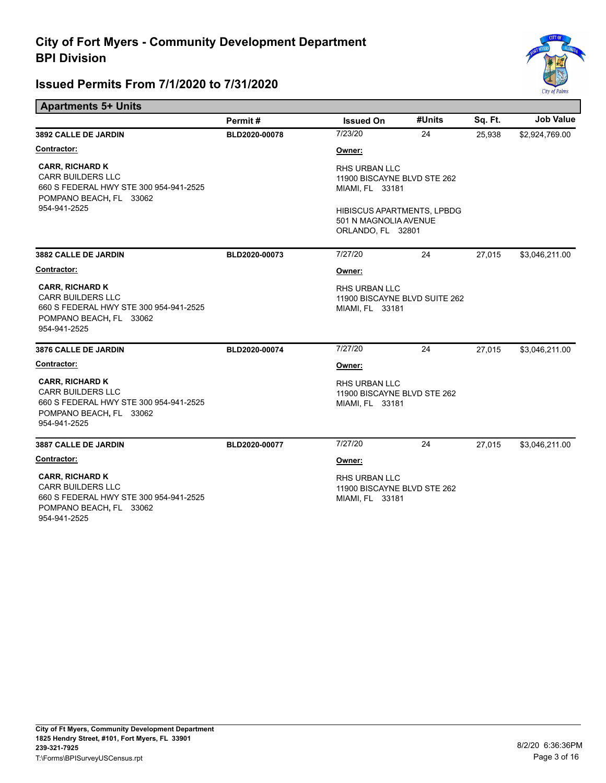

| <b>Apartments 5+ Units</b>                                                                                                              |               |                                                                                 |        |         |                  |
|-----------------------------------------------------------------------------------------------------------------------------------------|---------------|---------------------------------------------------------------------------------|--------|---------|------------------|
|                                                                                                                                         | Permit#       | <b>Issued On</b>                                                                | #Units | Sq. Ft. | <b>Job Value</b> |
| <b>3892 CALLE DE JARDIN</b>                                                                                                             | BLD2020-00078 | 7/23/20                                                                         | 24     | 25.938  | \$2,924,769.00   |
| Contractor:                                                                                                                             |               | Owner:                                                                          |        |         |                  |
| <b>CARR, RICHARD K</b><br><b>CARR BUILDERS LLC</b><br>660 S FEDERAL HWY STE 300 954-941-2525<br>POMPANO BEACH, FL 33062                 |               | <b>RHS URBAN LLC</b><br>11900 BISCAYNE BLVD STE 262<br>MIAMI, FL 33181          |        |         |                  |
| 954-941-2525                                                                                                                            |               | <b>HIBISCUS APARTMENTS, LPBDG</b><br>501 N MAGNOLIA AVENUE<br>ORLANDO, FL 32801 |        |         |                  |
| <b>3882 CALLE DE JARDIN</b>                                                                                                             | BLD2020-00073 | 7/27/20                                                                         | 24     | 27,015  | \$3,046,211.00   |
| Contractor:                                                                                                                             |               | Owner:                                                                          |        |         |                  |
| <b>CARR, RICHARD K</b><br><b>CARR BUILDERS LLC</b><br>660 S FEDERAL HWY STE 300 954-941-2525<br>POMPANO BEACH, FL 33062<br>954-941-2525 |               | <b>RHS URBAN LLC</b><br>11900 BISCAYNE BLVD SUITE 262<br>MIAMI, FL 33181        |        |         |                  |
| <b>3876 CALLE DE JARDIN</b>                                                                                                             | BLD2020-00074 | 7/27/20                                                                         | 24     | 27.015  | \$3,046,211.00   |
| Contractor:                                                                                                                             |               | Owner:                                                                          |        |         |                  |
| <b>CARR, RICHARD K</b><br><b>CARR BUILDERS LLC</b><br>660 S FEDERAL HWY STE 300 954-941-2525<br>POMPANO BEACH, FL 33062<br>954-941-2525 |               | <b>RHS URBAN LLC</b><br>11900 BISCAYNE BLVD STE 262<br>MIAMI, FL 33181          |        |         |                  |
| <b>3887 CALLE DE JARDIN</b>                                                                                                             | BLD2020-00077 | 7/27/20                                                                         | 24     | 27,015  | \$3,046,211.00   |
| Contractor:                                                                                                                             |               | Owner:                                                                          |        |         |                  |
| <b>CARR, RICHARD K</b><br><b>CARR BUILDERS LLC</b><br>660 S FEDERAL HWY STE 300 954-941-2525<br>POMPANO BEACH, FL 33062<br>954-941-2525 |               | <b>RHS URBAN LLC</b><br>11900 BISCAYNE BLVD STE 262<br>MIAMI, FL 33181          |        |         |                  |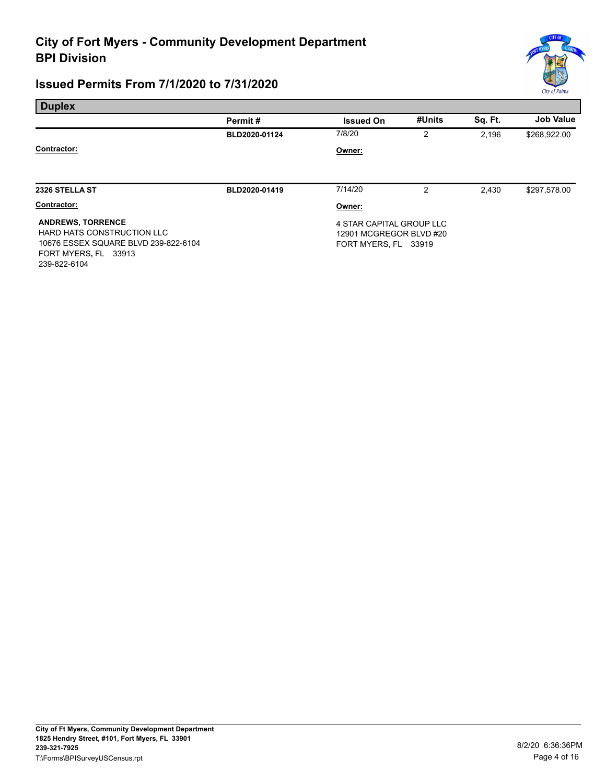# **City of Fort Myers - Community Development Department BPI Division**

## **Issued Permits From 7/1/2020 to 7/31/2020**

239-822-6104

Е



| <b>Duplex</b>                                                                                                          |               |                                                                             |        |         |                  |
|------------------------------------------------------------------------------------------------------------------------|---------------|-----------------------------------------------------------------------------|--------|---------|------------------|
|                                                                                                                        | Permit#       | <b>Issued On</b>                                                            | #Units | Sq. Ft. | <b>Job Value</b> |
|                                                                                                                        | BLD2020-01124 | 7/8/20                                                                      | 2      | 2,196   | \$268,922.00     |
| Contractor:                                                                                                            |               | Owner:                                                                      |        |         |                  |
| 2326 STELLA ST                                                                                                         | BLD2020-01419 | 7/14/20                                                                     | 2      | 2.430   | \$297,578.00     |
| Contractor:                                                                                                            |               | Owner:                                                                      |        |         |                  |
| <b>ANDREWS, TORRENCE</b><br>HARD HATS CONSTRUCTION LLC<br>10676 ESSEX SQUARE BLVD 239-822-6104<br>FORT MYERS, FL 33913 |               | 4 STAR CAPITAL GROUP LLC<br>12901 MCGREGOR BLVD #20<br>FORT MYERS, FL 33919 |        |         |                  |

 **1825 Hendry Street, #101, Fort Myers, FL 33901 City of Ft Myers, Community Development Department 239-321-7925** 8/2/20 6:36:36PM T:\Forms\BPISurveyUSCensus.rpt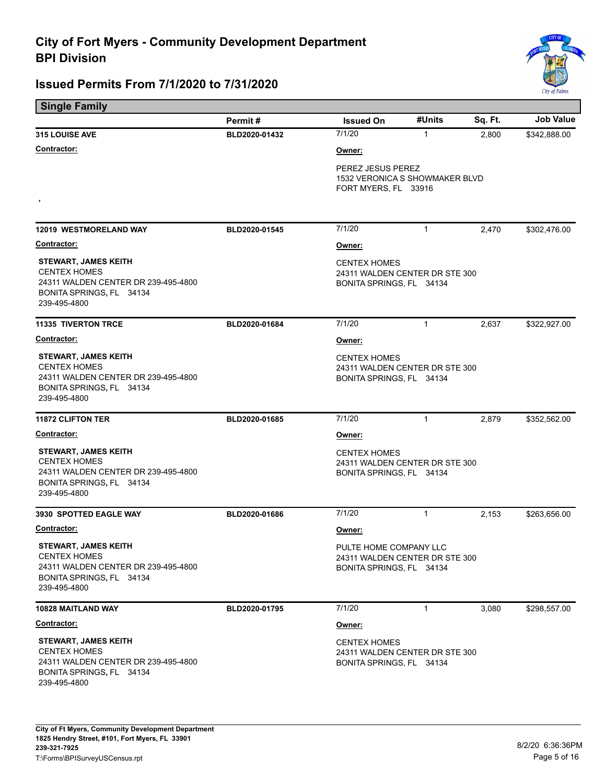

| <b>Single Family</b>                                                                                                                  |               |                                                                                      |                                                                             |         |                  |  |
|---------------------------------------------------------------------------------------------------------------------------------------|---------------|--------------------------------------------------------------------------------------|-----------------------------------------------------------------------------|---------|------------------|--|
|                                                                                                                                       | Permit#       | <b>Issued On</b>                                                                     | #Units                                                                      | Sq. Ft. | <b>Job Value</b> |  |
| 315 LOUISE AVE                                                                                                                        | BLD2020-01432 | 7/1/20                                                                               | $\mathbf{1}$                                                                | 2,800   | \$342,888.00     |  |
| <b>Contractor:</b>                                                                                                                    |               | Owner:                                                                               |                                                                             |         |                  |  |
| $\,$                                                                                                                                  |               |                                                                                      | PEREZ JESUS PEREZ<br>1532 VERONICA S SHOWMAKER BLVD<br>FORT MYERS, FL 33916 |         |                  |  |
| <b>12019 WESTMORELAND WAY</b>                                                                                                         | BLD2020-01545 | 7/1/20                                                                               | $\mathbf{1}$                                                                | 2,470   | \$302,476.00     |  |
| Contractor:                                                                                                                           |               | Owner:                                                                               |                                                                             |         |                  |  |
| <b>STEWART, JAMES KEITH</b><br><b>CENTEX HOMES</b><br>24311 WALDEN CENTER DR 239-495-4800<br>BONITA SPRINGS, FL 34134<br>239-495-4800 |               | <b>CENTEX HOMES</b><br>24311 WALDEN CENTER DR STE 300<br>BONITA SPRINGS, FL 34134    |                                                                             |         |                  |  |
| <b>11335 TIVERTON TRCE</b>                                                                                                            | BLD2020-01684 | 7/1/20                                                                               | $\mathbf{1}$                                                                | 2,637   | \$322,927.00     |  |
| <b>Contractor:</b>                                                                                                                    |               | Owner:                                                                               |                                                                             |         |                  |  |
| <b>STEWART, JAMES KEITH</b><br><b>CENTEX HOMES</b><br>24311 WALDEN CENTER DR 239-495-4800<br>BONITA SPRINGS, FL 34134<br>239-495-4800 |               | <b>CENTEX HOMES</b><br>24311 WALDEN CENTER DR STE 300<br>BONITA SPRINGS, FL 34134    |                                                                             |         |                  |  |
| <b>11872 CLIFTON TER</b>                                                                                                              | BLD2020-01685 | 7/1/20                                                                               | $\mathbf{1}$                                                                | 2,879   | \$352,562.00     |  |
| <b>Contractor:</b>                                                                                                                    |               | Owner:                                                                               |                                                                             |         |                  |  |
| <b>STEWART, JAMES KEITH</b><br><b>CENTEX HOMES</b><br>24311 WALDEN CENTER DR 239-495-4800<br>BONITA SPRINGS, FL 34134<br>239-495-4800 |               | <b>CENTEX HOMES</b><br>24311 WALDEN CENTER DR STE 300<br>BONITA SPRINGS, FL 34134    |                                                                             |         |                  |  |
| 3930 SPOTTED EAGLE WAY                                                                                                                | BLD2020-01686 | 7/1/20                                                                               | $\mathbf{1}$                                                                | 2,153   | \$263,656.00     |  |
| Contractor:                                                                                                                           |               | Owner:                                                                               |                                                                             |         |                  |  |
| <b>STEWART, JAMES KEITH</b><br><b>CENTEX HOMES</b><br>24311 WALDEN CENTER DR 239-495-4800<br>BONITA SPRINGS, FL 34134<br>239-495-4800 |               | PULTE HOME COMPANY LLC<br>24311 WALDEN CENTER DR STE 300<br>BONITA SPRINGS, FL 34134 |                                                                             |         |                  |  |
| <b>10828 MAITLAND WAY</b>                                                                                                             | BLD2020-01795 | 7/1/20                                                                               | 1                                                                           | 3,080   | \$298,557.00     |  |
| <b>Contractor:</b>                                                                                                                    |               | Owner:                                                                               |                                                                             |         |                  |  |
| <b>STEWART, JAMES KEITH</b><br><b>CENTEX HOMES</b><br>24311 WALDEN CENTER DR 239-495-4800<br>BONITA SPRINGS, FL 34134<br>239-495-4800 |               | <b>CENTEX HOMES</b><br>24311 WALDEN CENTER DR STE 300<br>BONITA SPRINGS, FL 34134    |                                                                             |         |                  |  |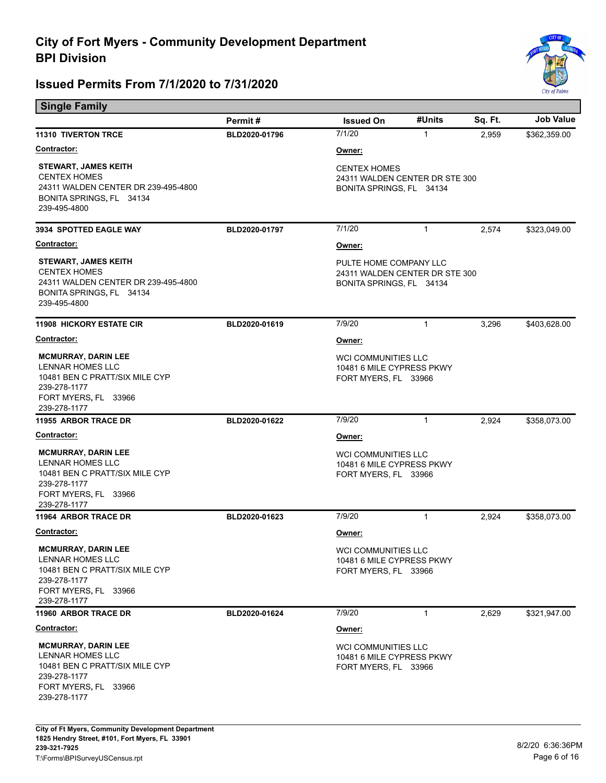

| <b>Single Family</b>                                                                                                                            |               |                                                                                                  |              |         |                  |  |
|-------------------------------------------------------------------------------------------------------------------------------------------------|---------------|--------------------------------------------------------------------------------------------------|--------------|---------|------------------|--|
|                                                                                                                                                 | Permit#       | <b>Issued On</b>                                                                                 | #Units       | Sq. Ft. | <b>Job Value</b> |  |
| <b>11310 TIVERTON TRCE</b>                                                                                                                      | BLD2020-01796 | 7/1/20                                                                                           | 1            | 2,959   | \$362,359.00     |  |
| <u>Contractor:</u>                                                                                                                              |               | <u>Owner:</u>                                                                                    |              |         |                  |  |
| <b>STEWART, JAMES KEITH</b><br><b>CENTEX HOMES</b><br>24311 WALDEN CENTER DR 239-495-4800<br>BONITA SPRINGS, FL 34134<br>239-495-4800           |               | <b>CENTEX HOMES</b><br>24311 WALDEN CENTER DR STE 300<br>BONITA SPRINGS, FL 34134                |              |         |                  |  |
| <b>3934 SPOTTED EAGLE WAY</b>                                                                                                                   | BLD2020-01797 | 7/1/20                                                                                           | 1            | 2,574   | \$323,049.00     |  |
| <b>Contractor:</b>                                                                                                                              |               | Owner:                                                                                           |              |         |                  |  |
| <b>STEWART, JAMES KEITH</b><br><b>CENTEX HOMES</b><br>24311 WALDEN CENTER DR 239-495-4800<br>BONITA SPRINGS, FL 34134<br>239-495-4800           |               | PULTE HOME COMPANY LLC<br>24311 WALDEN CENTER DR STE 300<br>BONITA SPRINGS, FL 34134             |              |         |                  |  |
| <b>11908 HICKORY ESTATE CIR</b>                                                                                                                 | BLD2020-01619 | 7/9/20                                                                                           | 1            | 3,296   | \$403,628.00     |  |
| Contractor:                                                                                                                                     |               | Owner:                                                                                           |              |         |                  |  |
| <b>MCMURRAY, DARIN LEE</b><br><b>LENNAR HOMES LLC</b><br>10481 BEN C PRATT/SIX MILE CYP<br>239-278-1177<br>FORT MYERS, FL 33966                 |               | <b>WCI COMMUNITIES LLC</b><br>10481 6 MILE CYPRESS PKWY<br>FORT MYERS, FL 33966                  |              |         |                  |  |
| 239-278-1177<br>11955 ARBOR TRACE DR                                                                                                            | BLD2020-01622 | 7/9/20                                                                                           | $\mathbf{1}$ | 2,924   | \$358,073.00     |  |
| Contractor:                                                                                                                                     |               |                                                                                                  |              |         |                  |  |
| <b>MCMURRAY, DARIN LEE</b><br><b>LENNAR HOMES LLC</b><br>10481 BEN C PRATT/SIX MILE CYP<br>239-278-1177<br>FORT MYERS, FL 33966<br>239-278-1177 |               | <u>Owner:</u><br><b>WCI COMMUNITIES LLC</b><br>10481 6 MILE CYPRESS PKWY<br>FORT MYERS, FL 33966 |              |         |                  |  |
| <b>11964 ARBOR TRACE DR</b>                                                                                                                     | BLD2020-01623 | 7/9/20                                                                                           | $\mathbf{1}$ | 2,924   | \$358,073.00     |  |
| <b>Contractor:</b>                                                                                                                              |               | <u>Owner:</u>                                                                                    |              |         |                  |  |
| <b>MCMURRAY, DARIN LEE</b><br>LENNAR HOMES LLC<br>10481 BEN C PRATT/SIX MILE CYP<br>239-278-1177<br>FORT MYERS, FL 33966<br>239-278-1177        |               | WCI COMMUNITIES LLC<br>10481 6 MILE CYPRESS PKWY<br>FORT MYERS, FL 33966                         |              |         |                  |  |
| 11960 ARBOR TRACE DR                                                                                                                            | BLD2020-01624 | 7/9/20                                                                                           | 1            | 2,629   | \$321,947.00     |  |
| <u>Contractor:</u>                                                                                                                              |               |                                                                                                  |              |         |                  |  |
| <b>MCMURRAY, DARIN LEE</b><br>LENNAR HOMES LLC<br>10481 BEN C PRATT/SIX MILE CYP<br>239-278-1177<br>FORT MYERS, FL 33966<br>239-278-1177        |               | <u>Owner:</u><br><b>WCI COMMUNITIES LLC</b><br>10481 6 MILE CYPRESS PKWY<br>FORT MYERS, FL 33966 |              |         |                  |  |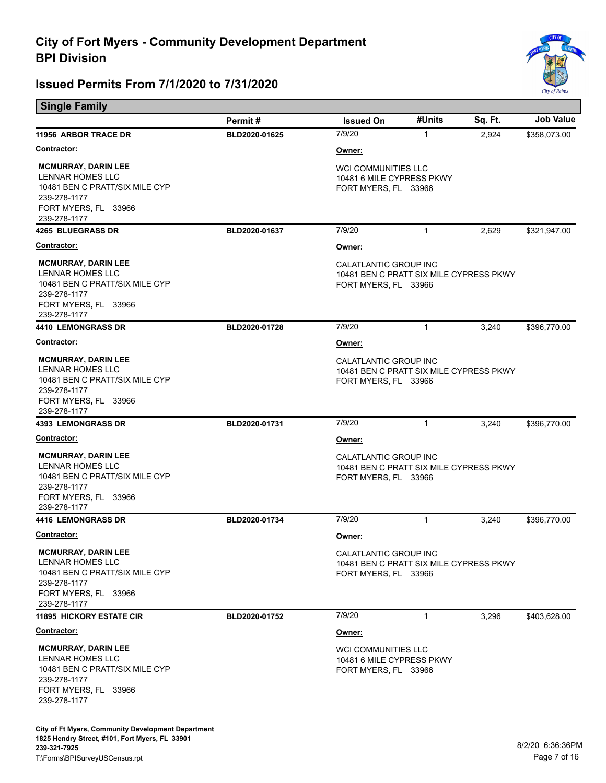

| <b>Single Family</b>                                                                                                                            |               |                                                                                                 |              |         |                  |  |
|-------------------------------------------------------------------------------------------------------------------------------------------------|---------------|-------------------------------------------------------------------------------------------------|--------------|---------|------------------|--|
|                                                                                                                                                 | Permit#       | <b>Issued On</b>                                                                                | #Units       | Sq. Ft. | <b>Job Value</b> |  |
| <b>11956 ARBOR TRACE DR</b>                                                                                                                     | BLD2020-01625 | 7/9/20                                                                                          | $\mathbf{1}$ | 2,924   | \$358,073.00     |  |
| <b>Contractor:</b>                                                                                                                              |               | Owner:                                                                                          |              |         |                  |  |
| <b>MCMURRAY, DARIN LEE</b><br><b>LENNAR HOMES LLC</b><br>10481 BEN C PRATT/SIX MILE CYP<br>239-278-1177<br>FORT MYERS, FL 33966<br>239-278-1177 |               | <b>WCI COMMUNITIES LLC</b><br>10481 6 MILE CYPRESS PKWY<br>FORT MYERS, FL 33966                 |              |         |                  |  |
| <b>4265 BLUEGRASS DR</b>                                                                                                                        | BLD2020-01637 | 7/9/20                                                                                          | $\mathbf{1}$ | 2,629   | \$321,947.00     |  |
| <b>Contractor:</b>                                                                                                                              |               | Owner:                                                                                          |              |         |                  |  |
| <b>MCMURRAY, DARIN LEE</b><br><b>LENNAR HOMES LLC</b><br>10481 BEN C PRATT/SIX MILE CYP<br>239-278-1177<br>FORT MYERS, FL 33966<br>239-278-1177 |               | CALATLANTIC GROUP INC<br>10481 BEN C PRATT SIX MILE CYPRESS PKWY<br>FORT MYERS, FL 33966        |              |         |                  |  |
| 4410 LEMONGRASS DR                                                                                                                              | BLD2020-01728 | 7/9/20                                                                                          | $\mathbf{1}$ | 3,240   | \$396,770.00     |  |
| <b>Contractor:</b>                                                                                                                              |               | Owner:                                                                                          |              |         |                  |  |
| <b>MCMURRAY, DARIN LEE</b><br>LENNAR HOMES LLC<br>10481 BEN C PRATT/SIX MILE CYP<br>239-278-1177<br>FORT MYERS, FL 33966<br>239-278-1177        |               | <b>CALATLANTIC GROUP INC</b><br>10481 BEN C PRATT SIX MILE CYPRESS PKWY<br>FORT MYERS, FL 33966 |              |         |                  |  |
| <b>4393 LEMONGRASS DR</b>                                                                                                                       | BLD2020-01731 | 7/9/20                                                                                          | $\mathbf{1}$ | 3,240   | \$396,770.00     |  |
| <u>Contractor:</u>                                                                                                                              |               | Owner:                                                                                          |              |         |                  |  |
| <b>MCMURRAY, DARIN LEE</b><br>LENNAR HOMES LLC<br>10481 BEN C PRATT/SIX MILE CYP<br>239-278-1177<br>FORT MYERS, FL 33966<br>239-278-1177        |               | CALATLANTIC GROUP INC<br>10481 BEN C PRATT SIX MILE CYPRESS PKWY<br>FORT MYERS, FL 33966        |              |         |                  |  |
| <b>4416 LEMONGRASS DR</b>                                                                                                                       | BLD2020-01734 | 7/9/20                                                                                          | $\mathbf{1}$ | 3,240   | \$396,770.00     |  |
| <b>Contractor:</b>                                                                                                                              |               | Owner:                                                                                          |              |         |                  |  |
| <b>MCMURRAY, DARIN LEE</b><br>LENNAR HOMES LLC<br>10481 BEN C PRATT/SIX MILE CYP<br>239-278-1177<br>FORT MYERS, FL 33966<br>239-278-1177        |               | CALATLANTIC GROUP INC<br>10481 BEN C PRATT SIX MILE CYPRESS PKWY<br>FORT MYERS, FL 33966        |              |         |                  |  |
| <b>11895 HICKORY ESTATE CIR</b>                                                                                                                 | BLD2020-01752 | 7/9/20                                                                                          | $\mathbf{1}$ | 3,296   | \$403,628.00     |  |
| <u>Contractor:</u>                                                                                                                              |               | Owner:                                                                                          |              |         |                  |  |
| <b>MCMURRAY, DARIN LEE</b><br>LENNAR HOMES LLC<br>10481 BEN C PRATT/SIX MILE CYP<br>239-278-1177<br>FORT MYERS, FL 33966<br>239-278-1177        |               | <b>WCI COMMUNITIES LLC</b><br>10481 6 MILE CYPRESS PKWY<br>FORT MYERS, FL 33966                 |              |         |                  |  |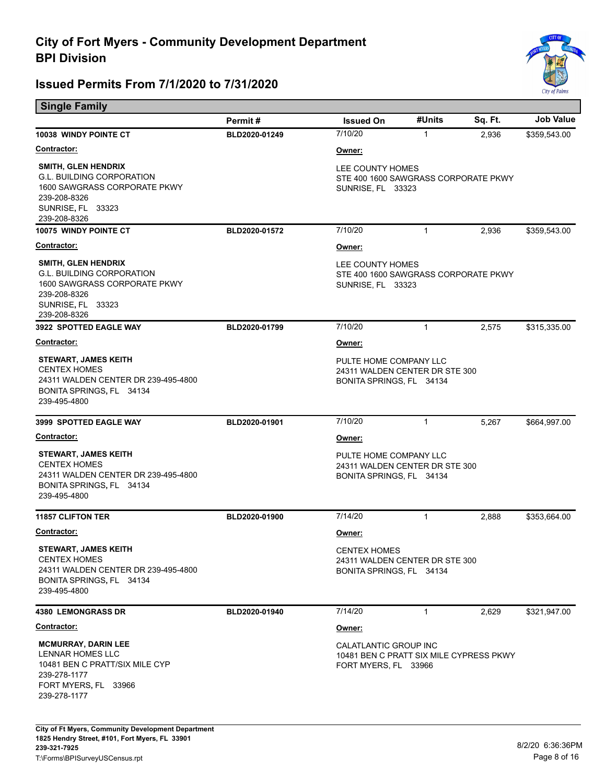

| <b>Single Family</b>                                                                                                                                |               |                                                                                          |              |         |                  |  |
|-----------------------------------------------------------------------------------------------------------------------------------------------------|---------------|------------------------------------------------------------------------------------------|--------------|---------|------------------|--|
|                                                                                                                                                     | Permit#       | <b>Issued On</b>                                                                         | #Units       | Sq. Ft. | <b>Job Value</b> |  |
| 10038 WINDY POINTE CT                                                                                                                               | BLD2020-01249 | 7/10/20                                                                                  | $\mathbf{1}$ | 2,936   | \$359,543.00     |  |
| <b>Contractor:</b>                                                                                                                                  |               | Owner:                                                                                   |              |         |                  |  |
| <b>SMITH, GLEN HENDRIX</b><br><b>G.L. BUILDING CORPORATION</b><br>1600 SAWGRASS CORPORATE PKWY<br>239-208-8326<br>SUNRISE, FL 33323<br>239-208-8326 |               | LEE COUNTY HOMES<br>STE 400 1600 SAWGRASS CORPORATE PKWY<br><b>SUNRISE, FL 33323</b>     |              |         |                  |  |
| <b>10075 WINDY POINTE CT</b>                                                                                                                        | BLD2020-01572 | 7/10/20                                                                                  | $\mathbf{1}$ | 2,936   | \$359,543.00     |  |
| Contractor:                                                                                                                                         |               | Owner:                                                                                   |              |         |                  |  |
| <b>SMITH, GLEN HENDRIX</b><br><b>G.L. BUILDING CORPORATION</b><br>1600 SAWGRASS CORPORATE PKWY<br>239-208-8326<br>SUNRISE, FL 33323<br>239-208-8326 |               | LEE COUNTY HOMES<br>STE 400 1600 SAWGRASS CORPORATE PKWY<br><b>SUNRISE, FL 33323</b>     |              |         |                  |  |
| 3922 SPOTTED EAGLE WAY                                                                                                                              | BLD2020-01799 | 7/10/20                                                                                  | $\mathbf{1}$ | 2,575   | \$315,335.00     |  |
| Contractor:                                                                                                                                         |               | Owner:                                                                                   |              |         |                  |  |
| <b>STEWART, JAMES KEITH</b><br><b>CENTEX HOMES</b><br>24311 WALDEN CENTER DR 239-495-4800<br>BONITA SPRINGS, FL 34134<br>239-495-4800               |               | PULTE HOME COMPANY LLC<br>24311 WALDEN CENTER DR STE 300<br>BONITA SPRINGS, FL 34134     |              |         |                  |  |
| 3999 SPOTTED EAGLE WAY                                                                                                                              | BLD2020-01901 | 7/10/20                                                                                  | 1            | 5,267   | \$664,997.00     |  |
| Contractor:                                                                                                                                         |               | Owner:                                                                                   |              |         |                  |  |
| <b>STEWART, JAMES KEITH</b><br><b>CENTEX HOMES</b><br>24311 WALDEN CENTER DR 239-495-4800<br>BONITA SPRINGS, FL 34134<br>239-495-4800               |               | PULTE HOME COMPANY LLC<br>24311 WALDEN CENTER DR STE 300<br>BONITA SPRINGS, FL 34134     |              |         |                  |  |
| <b>11857 CLIFTON TER</b>                                                                                                                            | BLD2020-01900 | 7/14/20                                                                                  | $\mathbf{1}$ | 2,888   | \$353,664.00     |  |
| Contractor:                                                                                                                                         |               | Owner:                                                                                   |              |         |                  |  |
| <b>STEWART, JAMES KEITH</b><br><b>CENTEX HOMES</b><br>24311 WALDEN CENTER DR 239-495-4800<br>BONITA SPRINGS, FL 34134<br>239-495-4800               |               | <b>CENTEX HOMES</b><br>24311 WALDEN CENTER DR STE 300<br>BONITA SPRINGS, FL 34134        |              |         |                  |  |
| <b>4380 LEMONGRASS DR</b>                                                                                                                           | BLD2020-01940 | 7/14/20                                                                                  | $\mathbf{1}$ | 2,629   | \$321,947.00     |  |
| <b>Contractor:</b>                                                                                                                                  |               | Owner:                                                                                   |              |         |                  |  |
| <b>MCMURRAY, DARIN LEE</b><br>LENNAR HOMES LLC<br>10481 BEN C PRATT/SIX MILE CYP<br>239-278-1177<br>FORT MYERS, FL 33966<br>239-278-1177            |               | CALATLANTIC GROUP INC<br>10481 BEN C PRATT SIX MILE CYPRESS PKWY<br>FORT MYERS, FL 33966 |              |         |                  |  |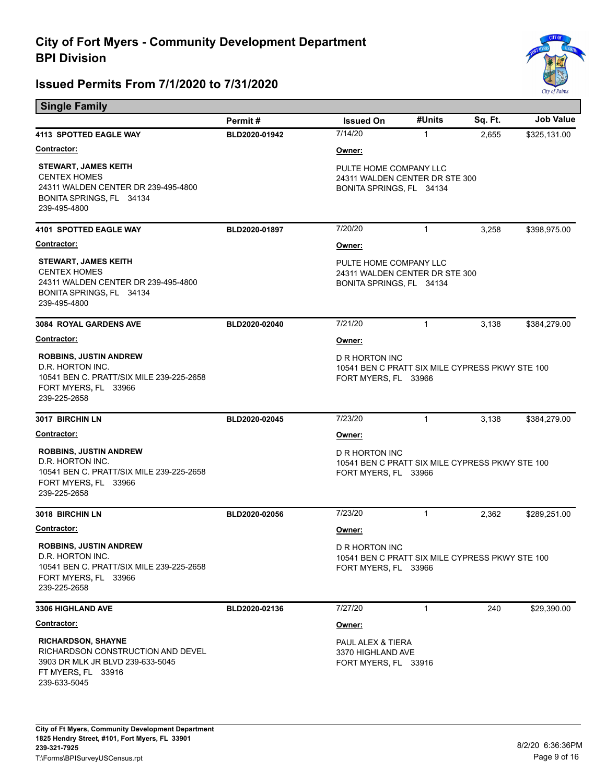

| <b>Single Family</b>                                                                                                                     |               |                                                                                           |              |         |                  |  |
|------------------------------------------------------------------------------------------------------------------------------------------|---------------|-------------------------------------------------------------------------------------------|--------------|---------|------------------|--|
|                                                                                                                                          | Permit#       | <b>Issued On</b>                                                                          | #Units       | Sq. Ft. | <b>Job Value</b> |  |
| <b>4113 SPOTTED EAGLE WAY</b>                                                                                                            | BLD2020-01942 | 7/14/20                                                                                   | $\mathbf{1}$ | 2,655   | \$325,131.00     |  |
| <b>Contractor:</b>                                                                                                                       |               | Owner:                                                                                    |              |         |                  |  |
| <b>STEWART, JAMES KEITH</b><br><b>CENTEX HOMES</b><br>24311 WALDEN CENTER DR 239-495-4800<br>BONITA SPRINGS, FL 34134<br>239-495-4800    |               | PULTE HOME COMPANY LLC<br>24311 WALDEN CENTER DR STE 300<br>BONITA SPRINGS, FL 34134      |              |         |                  |  |
| 4101 SPOTTED EAGLE WAY                                                                                                                   | BLD2020-01897 | 7/20/20                                                                                   | $\mathbf{1}$ | 3,258   | \$398,975.00     |  |
| Contractor:                                                                                                                              |               | Owner:                                                                                    |              |         |                  |  |
| <b>STEWART, JAMES KEITH</b><br><b>CENTEX HOMES</b><br>24311 WALDEN CENTER DR 239-495-4800<br>BONITA SPRINGS, FL 34134<br>239-495-4800    |               | PULTE HOME COMPANY LLC<br>24311 WALDEN CENTER DR STE 300<br>BONITA SPRINGS, FL 34134      |              |         |                  |  |
| <b>3084 ROYAL GARDENS AVE</b>                                                                                                            | BLD2020-02040 | 7/21/20                                                                                   | $\mathbf{1}$ | 3,138   | \$384,279.00     |  |
| <b>Contractor:</b>                                                                                                                       |               | Owner:                                                                                    |              |         |                  |  |
| <b>ROBBINS, JUSTIN ANDREW</b><br>D.R. HORTON INC.<br>10541 BEN C. PRATT/SIX MILE 239-225-2658<br>FORT MYERS, FL 33966<br>239-225-2658    |               | D R HORTON INC<br>10541 BEN C PRATT SIX MILE CYPRESS PKWY STE 100<br>FORT MYERS, FL 33966 |              |         |                  |  |
| 3017 BIRCHIN LN                                                                                                                          | BLD2020-02045 | 7/23/20                                                                                   | $\mathbf{1}$ | 3,138   | \$384,279.00     |  |
| <b>Contractor:</b>                                                                                                                       |               | Owner:                                                                                    |              |         |                  |  |
| <b>ROBBINS, JUSTIN ANDREW</b><br>D.R. HORTON INC.<br>10541 BEN C. PRATT/SIX MILE 239-225-2658<br>FORT MYERS, FL 33966<br>239-225-2658    |               | D R HORTON INC<br>10541 BEN C PRATT SIX MILE CYPRESS PKWY STE 100<br>FORT MYERS, FL 33966 |              |         |                  |  |
| 3018 BIRCHIN LN                                                                                                                          | BLD2020-02056 | 7/23/20                                                                                   | $\mathbf{1}$ | 2,362   | \$289,251.00     |  |
| <b>Contractor:</b>                                                                                                                       |               | Owner:                                                                                    |              |         |                  |  |
| <b>ROBBINS, JUSTIN ANDREW</b><br>D.R. HORTON INC.<br>10541 BEN C. PRATT/SIX MILE 239-225-2658<br>FORT MYERS, FL 33966<br>239-225-2658    |               | D R HORTON INC<br>10541 BEN C PRATT SIX MILE CYPRESS PKWY STE 100<br>FORT MYERS, FL 33966 |              |         |                  |  |
| 3306 HIGHLAND AVE                                                                                                                        | BLD2020-02136 | 7/27/20                                                                                   | 1            | 240     | \$29,390.00      |  |
| <b>Contractor:</b>                                                                                                                       |               | Owner:                                                                                    |              |         |                  |  |
| <b>RICHARDSON, SHAYNE</b><br>RICHARDSON CONSTRUCTION AND DEVEL<br>3903 DR MLK JR BLVD 239-633-5045<br>FT MYERS, FL 33916<br>239-633-5045 |               | PAUL ALEX & TIERA<br>3370 HIGHLAND AVE<br>FORT MYERS, FL 33916                            |              |         |                  |  |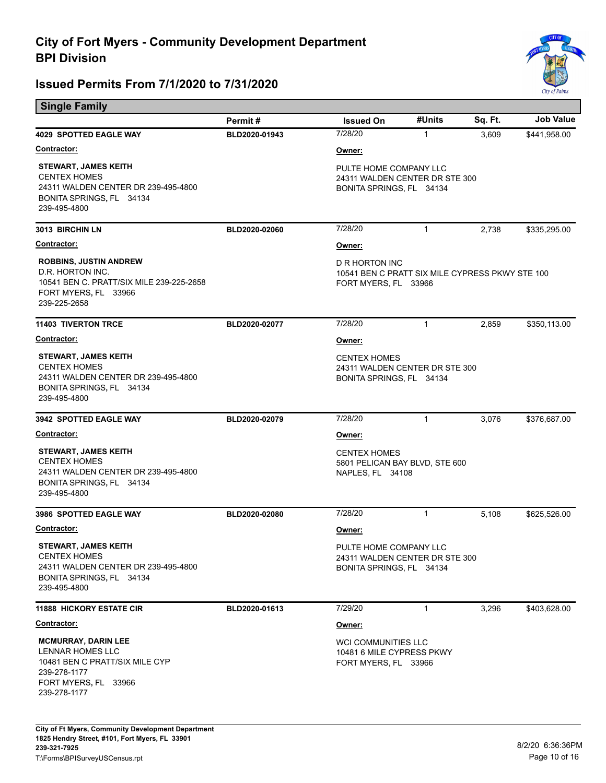

| <b>Single Family</b>                                                                                                                            |               |                                                                                           |              |         |                  |  |
|-------------------------------------------------------------------------------------------------------------------------------------------------|---------------|-------------------------------------------------------------------------------------------|--------------|---------|------------------|--|
|                                                                                                                                                 | Permit#       | <b>Issued On</b>                                                                          | #Units       | Sq. Ft. | <b>Job Value</b> |  |
| <b>4029 SPOTTED EAGLE WAY</b>                                                                                                                   | BLD2020-01943 | 7/28/20                                                                                   | $\mathbf{1}$ | 3,609   | \$441,958.00     |  |
| <b>Contractor:</b>                                                                                                                              |               | Owner:                                                                                    |              |         |                  |  |
| <b>STEWART, JAMES KEITH</b><br><b>CENTEX HOMES</b><br>24311 WALDEN CENTER DR 239-495-4800<br>BONITA SPRINGS, FL 34134<br>239-495-4800           |               | PULTE HOME COMPANY LLC<br>24311 WALDEN CENTER DR STE 300<br>BONITA SPRINGS, FL 34134      |              |         |                  |  |
| 3013 BIRCHIN LN                                                                                                                                 | BLD2020-02060 | 7/28/20                                                                                   | $\mathbf{1}$ | 2,738   | \$335,295.00     |  |
| <b>Contractor:</b>                                                                                                                              |               | Owner:                                                                                    |              |         |                  |  |
| <b>ROBBINS, JUSTIN ANDREW</b><br>D.R. HORTON INC.<br>10541 BEN C. PRATT/SIX MILE 239-225-2658<br>FORT MYERS, FL 33966<br>239-225-2658           |               | D R HORTON INC<br>10541 BEN C PRATT SIX MILE CYPRESS PKWY STE 100<br>FORT MYERS, FL 33966 |              |         |                  |  |
| <b>11403 TIVERTON TRCE</b>                                                                                                                      | BLD2020-02077 | 7/28/20                                                                                   | $\mathbf{1}$ | 2,859   | \$350,113.00     |  |
| Contractor:                                                                                                                                     |               | Owner:                                                                                    |              |         |                  |  |
| <b>STEWART, JAMES KEITH</b><br><b>CENTEX HOMES</b><br>24311 WALDEN CENTER DR 239-495-4800<br>BONITA SPRINGS, FL 34134<br>239-495-4800           |               | <b>CENTEX HOMES</b><br>24311 WALDEN CENTER DR STE 300<br>BONITA SPRINGS, FL 34134         |              |         |                  |  |
| <b>3942 SPOTTED EAGLE WAY</b>                                                                                                                   | BLD2020-02079 | 7/28/20                                                                                   | $\mathbf{1}$ | 3,076   | \$376,687.00     |  |
| <b>Contractor:</b>                                                                                                                              |               | Owner:                                                                                    |              |         |                  |  |
| <b>STEWART, JAMES KEITH</b><br><b>CENTEX HOMES</b><br>24311 WALDEN CENTER DR 239-495-4800<br>BONITA SPRINGS, FL 34134<br>239-495-4800           |               | <b>CENTEX HOMES</b><br>5801 PELICAN BAY BLVD, STE 600<br>NAPLES, FL 34108                 |              |         |                  |  |
| 3986 SPOTTED EAGLE WAY                                                                                                                          | BLD2020-02080 | 7/28/20                                                                                   | $\mathbf{1}$ | 5,108   | \$625,526.00     |  |
| Contractor:                                                                                                                                     |               | Owner:                                                                                    |              |         |                  |  |
| <b>STEWART, JAMES KEITH</b><br><b>CENTEX HOMES</b><br>24311 WALDEN CENTER DR 239-495-4800<br>BONITA SPRINGS, FL 34134<br>239-495-4800           |               | PULTE HOME COMPANY LLC<br>24311 WALDEN CENTER DR STE 300<br>BONITA SPRINGS, FL 34134      |              |         |                  |  |
| <b>11888 HICKORY ESTATE CIR</b>                                                                                                                 | BLD2020-01613 | 7/29/20                                                                                   | 1            | 3,296   | \$403,628.00     |  |
| <u>Contractor:</u>                                                                                                                              |               | Owner:                                                                                    |              |         |                  |  |
| <b>MCMURRAY, DARIN LEE</b><br><b>LENNAR HOMES LLC</b><br>10481 BEN C PRATT/SIX MILE CYP<br>239-278-1177<br>FORT MYERS, FL 33966<br>239-278-1177 |               | <b>WCI COMMUNITIES LLC</b><br>10481 6 MILE CYPRESS PKWY<br>FORT MYERS, FL 33966           |              |         |                  |  |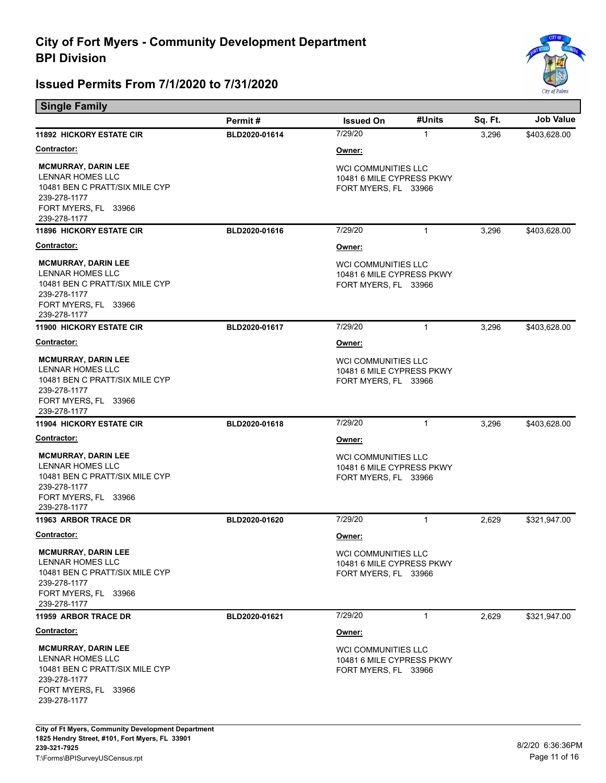Е



| <b>Single Family</b>                                                                                                                            |               |                                                                                 |              |         |                  |
|-------------------------------------------------------------------------------------------------------------------------------------------------|---------------|---------------------------------------------------------------------------------|--------------|---------|------------------|
|                                                                                                                                                 | Permit#       | <b>Issued On</b>                                                                | #Units       | Sq. Ft. | <b>Job Value</b> |
| <b>11892 HICKORY ESTATE CIR</b>                                                                                                                 | BLD2020-01614 | 7/29/20                                                                         | 1            | 3,296   | \$403,628.00     |
| <u>Contractor:</u>                                                                                                                              |               | <u>Owner:</u>                                                                   |              |         |                  |
| <b>MCMURRAY, DARIN LEE</b><br><b>LENNAR HOMES LLC</b><br>10481 BEN C PRATT/SIX MILE CYP<br>239-278-1177<br>FORT MYERS, FL 33966<br>239-278-1177 |               | <b>WCI COMMUNITIES LLC</b><br>10481 6 MILE CYPRESS PKWY<br>FORT MYERS, FL 33966 |              |         |                  |
| <b>11896 HICKORY ESTATE CIR</b>                                                                                                                 | BLD2020-01616 | 7/29/20                                                                         | $\mathbf{1}$ | 3,296   | \$403,628.00     |
| Contractor:                                                                                                                                     |               | <u>Owner:</u>                                                                   |              |         |                  |
| <b>MCMURRAY, DARIN LEE</b><br><b>LENNAR HOMES LLC</b><br>10481 BEN C PRATT/SIX MILE CYP<br>239-278-1177<br>FORT MYERS, FL 33966<br>239-278-1177 |               | <b>WCI COMMUNITIES LLC</b><br>10481 6 MILE CYPRESS PKWY<br>FORT MYERS, FL 33966 |              |         |                  |
| <b>11900 HICKORY ESTATE CIR</b>                                                                                                                 | BLD2020-01617 | 7/29/20                                                                         | $\mathbf{1}$ | 3,296   | \$403,628.00     |
| <b>Contractor:</b>                                                                                                                              |               | Owner:                                                                          |              |         |                  |
| <b>MCMURRAY, DARIN LEE</b><br>LENNAR HOMES LLC<br>10481 BEN C PRATT/SIX MILE CYP<br>239-278-1177<br>FORT MYERS, FL 33966<br>239-278-1177        |               | <b>WCI COMMUNITIES LLC</b><br>10481 6 MILE CYPRESS PKWY<br>FORT MYERS, FL 33966 |              |         |                  |
| <b>11904 HICKORY ESTATE CIR</b>                                                                                                                 | BLD2020-01618 | 7/29/20                                                                         | $\mathbf{1}$ | 3,296   | \$403,628.00     |
| <u>Contractor:</u>                                                                                                                              |               | <u>Owner:</u>                                                                   |              |         |                  |
| <b>MCMURRAY, DARIN LEE</b><br>LENNAR HOMES LLC<br>10481 BEN C PRATT/SIX MILE CYP<br>239-278-1177<br>FORT MYERS, FL 33966<br>239-278-1177        |               | <b>WCI COMMUNITIES LLC</b><br>10481 6 MILE CYPRESS PKWY<br>FORT MYERS, FL 33966 |              |         |                  |
| <b>11963 ARBOR TRACE DR</b>                                                                                                                     | BLD2020-01620 | 7/29/20                                                                         | $\mathbf{1}$ | 2,629   | \$321,947.00     |
| <b>Contractor:</b>                                                                                                                              |               | <u>Owner:</u>                                                                   |              |         |                  |
| <b>MCMURRAY, DARIN LEE</b><br><b>LENNAR HOMES LLC</b><br>10481 BEN C PRATT/SIX MILE CYP<br>239-278-1177<br>FORT MYERS, FL 33966<br>239-278-1177 |               | WCI COMMUNITIES LLC<br>10481 6 MILE CYPRESS PKWY<br>FORT MYERS, FL 33966        |              |         |                  |
| 11959 ARBOR TRACE DR                                                                                                                            | BLD2020-01621 | 7/29/20                                                                         | 1            | 2,629   | \$321,947.00     |
| Contractor:                                                                                                                                     |               | <u>Owner:</u>                                                                   |              |         |                  |
| <b>MCMURRAY, DARIN LEE</b><br>LENNAR HOMES LLC<br>10481 BEN C PRATT/SIX MILE CYP<br>239-278-1177<br>FORT MYERS, FL 33966<br>239-278-1177        |               | WCI COMMUNITIES LLC<br>10481 6 MILE CYPRESS PKWY<br>FORT MYERS, FL 33966        |              |         |                  |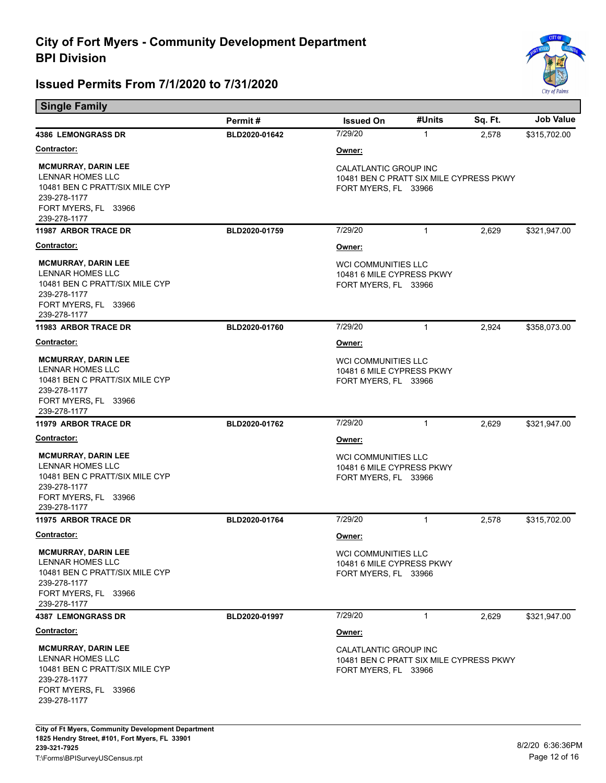

| <b>Single Family</b>                                                                                                                     |               |                                                                                          |              |         |                  |
|------------------------------------------------------------------------------------------------------------------------------------------|---------------|------------------------------------------------------------------------------------------|--------------|---------|------------------|
|                                                                                                                                          | Permit#       | <b>Issued On</b>                                                                         | #Units       | Sq. Ft. | <b>Job Value</b> |
| <b>4386 LEMONGRASS DR</b>                                                                                                                | BLD2020-01642 | 7/29/20                                                                                  | $\mathbf{1}$ | 2,578   | \$315,702.00     |
| <b>Contractor:</b>                                                                                                                       |               | Owner:                                                                                   |              |         |                  |
| <b>MCMURRAY, DARIN LEE</b><br>LENNAR HOMES LLC<br>10481 BEN C PRATT/SIX MILE CYP<br>239-278-1177<br>FORT MYERS, FL 33966<br>239-278-1177 |               | CALATLANTIC GROUP INC<br>10481 BEN C PRATT SIX MILE CYPRESS PKWY<br>FORT MYERS, FL 33966 |              |         |                  |
| <b>11987 ARBOR TRACE DR</b>                                                                                                              | BLD2020-01759 | 7/29/20                                                                                  | $\mathbf{1}$ | 2,629   | \$321,947.00     |
| <b>Contractor:</b>                                                                                                                       |               | Owner:                                                                                   |              |         |                  |
| <b>MCMURRAY, DARIN LEE</b><br>LENNAR HOMES LLC<br>10481 BEN C PRATT/SIX MILE CYP<br>239-278-1177<br>FORT MYERS, FL 33966<br>239-278-1177 |               | WCI COMMUNITIES LLC<br>10481 6 MILE CYPRESS PKWY<br>FORT MYERS, FL 33966                 |              |         |                  |
| <b>11983 ARBOR TRACE DR</b>                                                                                                              | BLD2020-01760 | 7/29/20                                                                                  | $\mathbf{1}$ | 2,924   | \$358,073.00     |
| <u>Contractor:</u>                                                                                                                       |               | Owner:                                                                                   |              |         |                  |
| <b>MCMURRAY, DARIN LEE</b><br>LENNAR HOMES LLC<br>10481 BEN C PRATT/SIX MILE CYP<br>239-278-1177<br>FORT MYERS, FL 33966<br>239-278-1177 |               | <b>WCI COMMUNITIES LLC</b><br>10481 6 MILE CYPRESS PKWY<br>FORT MYERS, FL 33966          |              |         |                  |
| <b>11979 ARBOR TRACE DR</b>                                                                                                              | BLD2020-01762 | 7/29/20                                                                                  | $\mathbf{1}$ | 2,629   | \$321,947.00     |
| <b>Contractor:</b>                                                                                                                       |               | Owner:                                                                                   |              |         |                  |
| <b>MCMURRAY, DARIN LEE</b><br>LENNAR HOMES LLC<br>10481 BEN C PRATT/SIX MILE CYP<br>239-278-1177<br>FORT MYERS, FL 33966<br>239-278-1177 |               | WCI COMMUNITIES LLC<br>10481 6 MILE CYPRESS PKWY<br>FORT MYERS, FL 33966                 |              |         |                  |
| <b>11975 ARBOR TRACE DR</b>                                                                                                              | BLD2020-01764 | 7/29/20                                                                                  | $\mathbf{1}$ | 2,578   | \$315,702.00     |
| Contractor:                                                                                                                              |               | Owner:                                                                                   |              |         |                  |
| <b>MCMURRAY, DARIN LEE</b><br>LENNAR HOMES LLC<br>10481 BEN C PRATT/SIX MILE CYP<br>239-278-1177<br>FORT MYERS, FL 33966<br>239-278-1177 |               | WCI COMMUNITIES LLC<br>10481 6 MILE CYPRESS PKWY<br>FORT MYERS, FL 33966                 |              |         |                  |
| <b>4387 LEMONGRASS DR</b>                                                                                                                | BLD2020-01997 | 7/29/20                                                                                  | $\mathbf{1}$ | 2,629   | \$321,947.00     |
| <b>Contractor:</b>                                                                                                                       |               | Owner:                                                                                   |              |         |                  |
| <b>MCMURRAY, DARIN LEE</b><br>LENNAR HOMES LLC<br>10481 BEN C PRATT/SIX MILE CYP<br>239-278-1177<br>FORT MYERS, FL 33966<br>239-278-1177 |               | CALATLANTIC GROUP INC<br>10481 BEN C PRATT SIX MILE CYPRESS PKWY<br>FORT MYERS, FL 33966 |              |         |                  |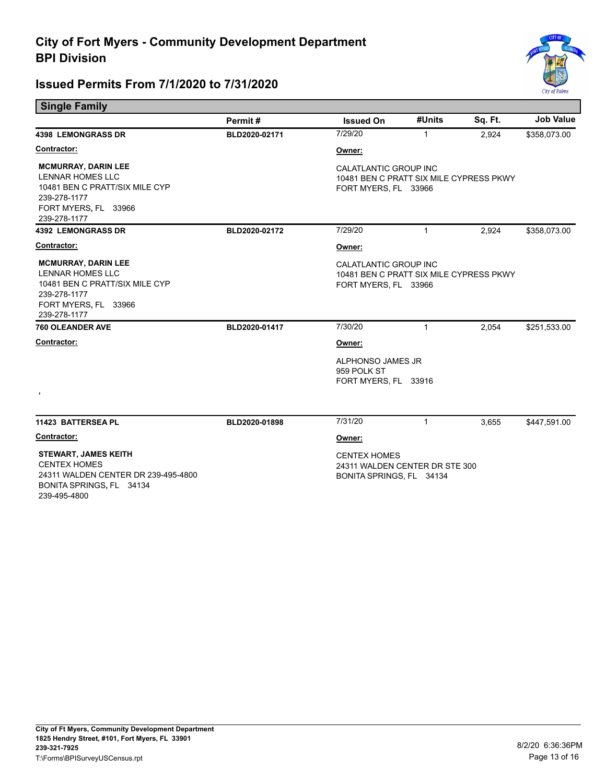

| <b>Single Family</b>                                                                                                                            |               |                                                                                                 |              |         |                  |
|-------------------------------------------------------------------------------------------------------------------------------------------------|---------------|-------------------------------------------------------------------------------------------------|--------------|---------|------------------|
|                                                                                                                                                 | Permit#       | <b>Issued On</b>                                                                                | #Units       | Sq. Ft. | <b>Job Value</b> |
| <b>4398 LEMONGRASS DR</b>                                                                                                                       | BLD2020-02171 | 7/29/20                                                                                         | 1            | 2,924   | \$358,073.00     |
| Contractor:                                                                                                                                     |               | Owner:                                                                                          |              |         |                  |
| <b>MCMURRAY, DARIN LEE</b><br>LENNAR HOMES LLC<br>10481 BEN C PRATT/SIX MILE CYP<br>239-278-1177<br>FORT MYERS, FL 33966<br>239-278-1177        |               | <b>CALATLANTIC GROUP INC</b><br>10481 BEN C PRATT SIX MILE CYPRESS PKWY<br>FORT MYERS, FL 33966 |              |         |                  |
| <b>4392 LEMONGRASS DR</b>                                                                                                                       | BLD2020-02172 | 7/29/20                                                                                         | $\mathbf{1}$ | 2,924   | \$358,073.00     |
| Contractor:                                                                                                                                     |               | Owner:                                                                                          |              |         |                  |
| <b>MCMURRAY, DARIN LEE</b><br><b>LENNAR HOMES LLC</b><br>10481 BEN C PRATT/SIX MILE CYP<br>239-278-1177<br>FORT MYERS, FL 33966<br>239-278-1177 |               | CALATLANTIC GROUP INC<br>10481 BEN C PRATT SIX MILE CYPRESS PKWY<br>FORT MYERS, FL 33966        |              |         |                  |
| <b>760 OLEANDER AVE</b>                                                                                                                         | BLD2020-01417 | 7/30/20                                                                                         | $\mathbf{1}$ | 2,054   | \$251,533.00     |
| Contractor:<br>$\,$                                                                                                                             |               | Owner:                                                                                          |              |         |                  |
|                                                                                                                                                 |               | ALPHONSO JAMES JR<br>959 POLK ST<br>FORT MYERS, FL 33916                                        |              |         |                  |
| 11423 BATTERSEA PL                                                                                                                              | BLD2020-01898 | 7/31/20                                                                                         | $\mathbf{1}$ | 3,655   | \$447,591.00     |
| Contractor:                                                                                                                                     |               | Owner:                                                                                          |              |         |                  |
| <b>STEWART, JAMES KEITH</b><br><b>CENTEX HOMES</b><br>24311 WALDEN CENTER DR 239-495-4800<br>BONITA SPRINGS, FL 34134                           |               | <b>CENTEX HOMES</b><br>24311 WALDEN CENTER DR STE 300<br>BONITA SPRINGS, FL 34134               |              |         |                  |

239-495-4800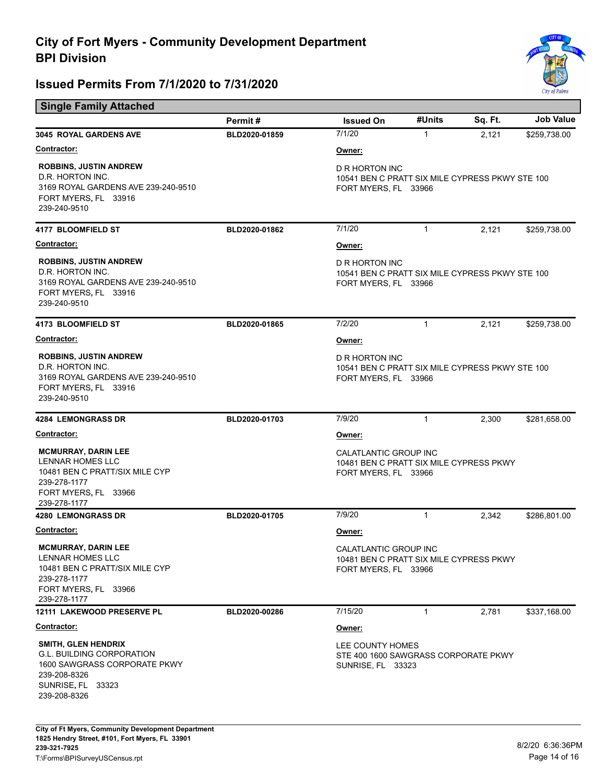

| <b>Single Family Attached</b>                                                                                                                   |               |                                                                                           |              |         |                  |  |
|-------------------------------------------------------------------------------------------------------------------------------------------------|---------------|-------------------------------------------------------------------------------------------|--------------|---------|------------------|--|
|                                                                                                                                                 | Permit#       | <b>Issued On</b>                                                                          | #Units       | Sq. Ft. | <b>Job Value</b> |  |
| 3045 ROYAL GARDENS AVE                                                                                                                          | BLD2020-01859 | 7/1/20                                                                                    | $\mathbf{1}$ | 2,121   | \$259,738.00     |  |
| <b>Contractor:</b>                                                                                                                              |               | Owner:                                                                                    |              |         |                  |  |
| <b>ROBBINS, JUSTIN ANDREW</b><br>D.R. HORTON INC.<br>3169 ROYAL GARDENS AVE 239-240-9510<br>FORT MYERS, FL 33916<br>239-240-9510                |               | D R HORTON INC<br>10541 BEN C PRATT SIX MILE CYPRESS PKWY STE 100<br>FORT MYERS, FL 33966 |              |         |                  |  |
| 4177 BLOOMFIELD ST                                                                                                                              | BLD2020-01862 | 7/1/20                                                                                    | $\mathbf{1}$ | 2,121   | \$259,738.00     |  |
| <b>Contractor:</b>                                                                                                                              |               | Owner:                                                                                    |              |         |                  |  |
| <b>ROBBINS, JUSTIN ANDREW</b><br>D.R. HORTON INC.<br>3169 ROYAL GARDENS AVE 239-240-9510<br>FORT MYERS, FL 33916<br>239-240-9510                |               | D R HORTON INC<br>10541 BEN C PRATT SIX MILE CYPRESS PKWY STE 100<br>FORT MYERS, FL 33966 |              |         |                  |  |
| 4173 BLOOMFIELD ST                                                                                                                              | BLD2020-01865 | 7/2/20                                                                                    | $\mathbf{1}$ | 2,121   | \$259,738.00     |  |
| <b>Contractor:</b>                                                                                                                              |               | Owner:                                                                                    |              |         |                  |  |
| <b>ROBBINS, JUSTIN ANDREW</b><br>D.R. HORTON INC.<br>3169 ROYAL GARDENS AVE 239-240-9510<br>FORT MYERS, FL 33916<br>239-240-9510                |               | D R HORTON INC<br>10541 BEN C PRATT SIX MILE CYPRESS PKWY STE 100<br>FORT MYERS, FL 33966 |              |         |                  |  |
| <b>4284 LEMONGRASS DR</b>                                                                                                                       | BLD2020-01703 | 7/9/20                                                                                    | 1            | 2,300   | \$281,658.00     |  |
| <b>Contractor:</b>                                                                                                                              |               | Owner:                                                                                    |              |         |                  |  |
| <b>MCMURRAY, DARIN LEE</b><br><b>LENNAR HOMES LLC</b><br>10481 BEN C PRATT/SIX MILE CYP<br>239-278-1177<br>FORT MYERS, FL 33966<br>239-278-1177 |               | CALATLANTIC GROUP INC<br>10481 BEN C PRATT SIX MILE CYPRESS PKWY<br>FORT MYERS, FL 33966  |              |         |                  |  |
| 4280 LEMONGRASS DR                                                                                                                              | BLD2020-01705 | 7/9/20                                                                                    | $\mathbf{1}$ | 2,342   | \$286,801.00     |  |
| <b>Contractor:</b>                                                                                                                              |               | Owner:                                                                                    |              |         |                  |  |
| <b>MCMURRAY, DARIN LEE</b><br><b>LENNAR HOMES LLC</b><br>10481 BEN C PRATT/SIX MILE CYP<br>239-278-1177<br>FORT MYERS, FL 33966<br>239-278-1177 |               | CALATLANTIC GROUP INC<br>10481 BEN C PRATT SIX MILE CYPRESS PKWY<br>FORT MYERS, FL 33966  |              |         |                  |  |
| 12111 LAKEWOOD PRESERVE PL                                                                                                                      | BLD2020-00286 | 7/15/20                                                                                   | $\mathbf{1}$ | 2,781   | \$337,168.00     |  |
| Contractor:                                                                                                                                     |               | Owner:                                                                                    |              |         |                  |  |
| SMITH, GLEN HENDRIX<br><b>G.L. BUILDING CORPORATION</b><br>1600 SAWGRASS CORPORATE PKWY<br>239-208-8326<br>SUNRISE, FL 33323                    |               | LEE COUNTY HOMES<br>STE 400 1600 SAWGRASS CORPORATE PKWY<br><b>SUNRISE, FL 33323</b>      |              |         |                  |  |
| 239-208-8326                                                                                                                                    |               |                                                                                           |              |         |                  |  |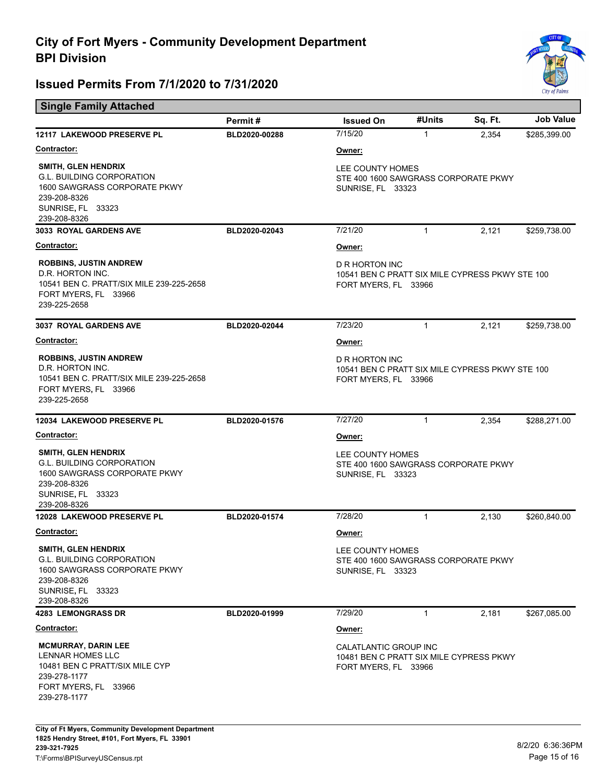

| <b>Single Family Attached</b>                                                                                                                       |               |                                                                                           |              |         |                  |
|-----------------------------------------------------------------------------------------------------------------------------------------------------|---------------|-------------------------------------------------------------------------------------------|--------------|---------|------------------|
|                                                                                                                                                     | Permit#       | <b>Issued On</b>                                                                          | #Units       | Sq. Ft. | <b>Job Value</b> |
| 12117 LAKEWOOD PRESERVE PL                                                                                                                          | BLD2020-00288 | 7/15/20                                                                                   | $\mathbf{1}$ | 2,354   | \$285,399.00     |
| <b>Contractor:</b>                                                                                                                                  |               | Owner:                                                                                    |              |         |                  |
| <b>SMITH, GLEN HENDRIX</b><br><b>G.L. BUILDING CORPORATION</b><br>1600 SAWGRASS CORPORATE PKWY<br>239-208-8326<br>SUNRISE, FL 33323<br>239-208-8326 |               | LEE COUNTY HOMES<br>STE 400 1600 SAWGRASS CORPORATE PKWY<br><b>SUNRISE, FL 33323</b>      |              |         |                  |
| 3033 ROYAL GARDENS AVE                                                                                                                              | BLD2020-02043 | 7/21/20                                                                                   | $\mathbf{1}$ | 2,121   | \$259,738.00     |
| <b>Contractor:</b>                                                                                                                                  |               | Owner:                                                                                    |              |         |                  |
| <b>ROBBINS, JUSTIN ANDREW</b><br>D.R. HORTON INC.<br>10541 BEN C. PRATT/SIX MILE 239-225-2658<br>FORT MYERS, FL 33966<br>239-225-2658               |               | D R HORTON INC<br>10541 BEN C PRATT SIX MILE CYPRESS PKWY STE 100<br>FORT MYERS, FL 33966 |              |         |                  |
| <b>3037 ROYAL GARDENS AVE</b>                                                                                                                       | BLD2020-02044 | 7/23/20                                                                                   | $\mathbf{1}$ | 2,121   | \$259,738.00     |
| <b>Contractor:</b>                                                                                                                                  |               | Owner:                                                                                    |              |         |                  |
| <b>ROBBINS, JUSTIN ANDREW</b><br>D.R. HORTON INC.<br>10541 BEN C. PRATT/SIX MILE 239-225-2658<br>FORT MYERS, FL 33966<br>239-225-2658               |               | D R HORTON INC<br>10541 BEN C PRATT SIX MILE CYPRESS PKWY STE 100<br>FORT MYERS, FL 33966 |              |         |                  |
| 12034 LAKEWOOD PRESERVE PL                                                                                                                          | BLD2020-01576 | 7/27/20                                                                                   | $\mathbf{1}$ | 2,354   | \$288,271.00     |
| <b>Contractor:</b>                                                                                                                                  |               | Owner:                                                                                    |              |         |                  |
| <b>SMITH, GLEN HENDRIX</b><br><b>G.L. BUILDING CORPORATION</b><br>1600 SAWGRASS CORPORATE PKWY<br>239-208-8326<br>SUNRISE, FL 33323<br>239-208-8326 |               | LEE COUNTY HOMES<br>STE 400 1600 SAWGRASS CORPORATE PKWY<br><b>SUNRISE, FL 33323</b>      |              |         |                  |
| 12028 LAKEWOOD PRESERVE PL                                                                                                                          | BLD2020-01574 | 7/28/20                                                                                   | 1            | 2,130   | \$260,840.00     |
| <b>Contractor:</b>                                                                                                                                  |               | Owner:                                                                                    |              |         |                  |
| SMITH, GLEN HENDRIX<br><b>G.L. BUILDING CORPORATION</b><br>1600 SAWGRASS CORPORATE PKWY<br>239-208-8326<br>SUNRISE, FL 33323<br>239-208-8326        |               | LEE COUNTY HOMES<br>STE 400 1600 SAWGRASS CORPORATE PKWY<br><b>SUNRISE, FL 33323</b>      |              |         |                  |
| <b>4283 LEMONGRASS DR</b>                                                                                                                           | BLD2020-01999 | 7/29/20                                                                                   | 1            | 2,181   | \$267,085.00     |
| <b>Contractor:</b>                                                                                                                                  |               | Owner:                                                                                    |              |         |                  |
| <b>MCMURRAY, DARIN LEE</b><br><b>LENNAR HOMES LLC</b><br>10481 BEN C PRATT/SIX MILE CYP<br>239-278-1177<br>FORT MYERS, FL 33966<br>239-278-1177     |               | CALATLANTIC GROUP INC<br>10481 BEN C PRATT SIX MILE CYPRESS PKWY<br>FORT MYERS, FL 33966  |              |         |                  |